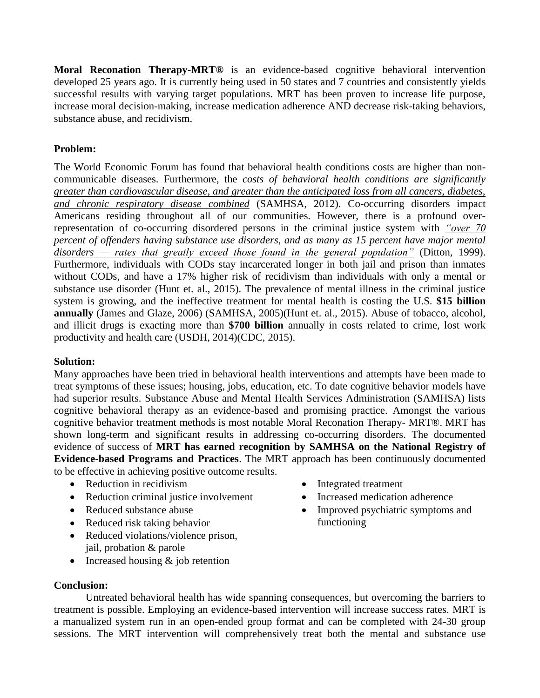**Moral Reconation Therapy-MRT®** is an evidence-based cognitive behavioral intervention developed 25 years ago. It is currently being used in 50 states and 7 countries and consistently yields successful results with varying target populations. MRT has been proven to increase life purpose, increase moral decision-making, increase medication adherence AND decrease risk-taking behaviors, substance abuse, and recidivism.

## **Problem:**

The World Economic Forum has found that behavioral health conditions costs are higher than noncommunicable diseases. Furthermore, the *costs of behavioral health conditions are significantly greater than cardiovascular disease, and greater than the anticipated loss from all cancers, diabetes, and chronic respiratory disease combined* (SAMHSA, 2012). Co-occurring disorders impact Americans residing throughout all of our communities. However, there is a profound overrepresentation of co-occurring disordered persons in the criminal justice system with *"over 70 percent of offenders having substance use disorders, and as many as 15 percent have major mental disorders — rates that greatly exceed those found in the general population"* (Ditton, 1999). Furthermore, individuals with CODs stay incarcerated longer in both jail and prison than inmates without CODs, and have a 17% higher risk of recidivism than individuals with only a mental or substance use disorder (Hunt et. al., 2015). The prevalence of mental illness in the criminal justice system is growing, and the ineffective treatment for mental health is costing the U.S. **\$15 billion annually** (James and Glaze, 2006) (SAMHSA, 2005)(Hunt et. al., 2015). Abuse of tobacco, alcohol, and illicit drugs is exacting more than **\$700 billion** annually in costs related to crime, lost work productivity and health care (USDH, 2014)(CDC, 2015).

## **Solution:**

Many approaches have been tried in behavioral health interventions and attempts have been made to treat symptoms of these issues; housing, jobs, education, etc. To date cognitive behavior models have had superior results. Substance Abuse and Mental Health Services Administration (SAMHSA) lists cognitive behavioral therapy as an evidence-based and promising practice. Amongst the various cognitive behavior treatment methods is most notable Moral Reconation Therapy- MRT®. MRT has shown long-term and significant results in addressing co-occurring disorders. The documented evidence of success of **MRT has earned recognition by SAMHSA on the National Registry of Evidence-based Programs and Practices**. The MRT approach has been continuously documented to be effective in achieving positive outcome results.

- Reduction in recidivism
- Reduction criminal justice involvement
- Reduced substance abuse
- Reduced risk taking behavior
- Reduced violations/violence prison, jail, probation & parole
- Increased housing & job retention
- Integrated treatment
- Increased medication adherence
- Improved psychiatric symptoms and functioning

**Conclusion:**

Untreated behavioral health has wide spanning consequences, but overcoming the barriers to treatment is possible. Employing an evidence-based intervention will increase success rates. MRT is a manualized system run in an open-ended group format and can be completed with 24-30 group sessions. The MRT intervention will comprehensively treat both the mental and substance use